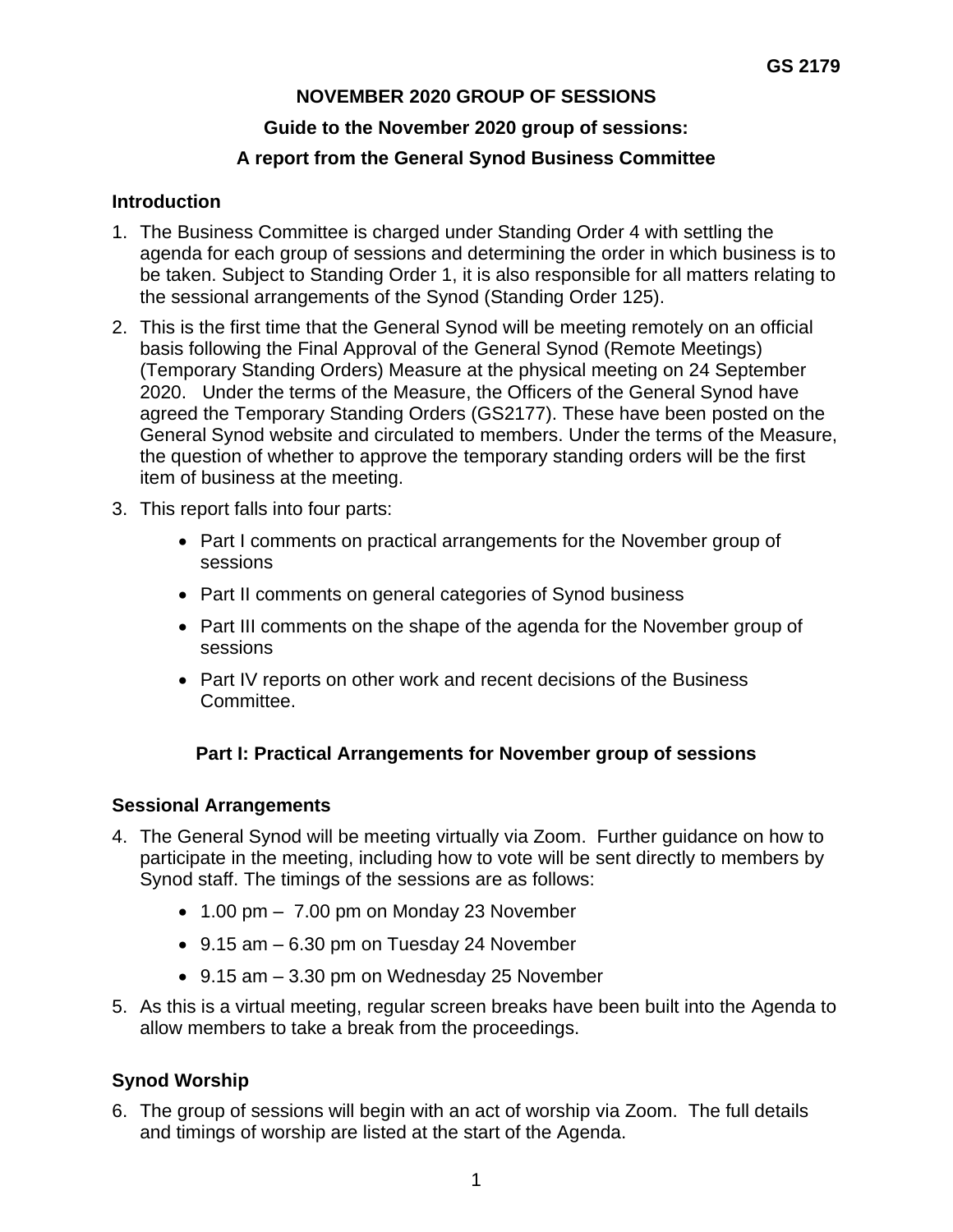# **NOVEMBER 2020 GROUP OF SESSIONS Guide to the November 2020 group of sessions:**

## **A report from the General Synod Business Committee**

### **Introduction**

- 1. The Business Committee is charged under Standing Order 4 with settling the agenda for each group of sessions and determining the order in which business is to be taken. Subject to Standing Order 1, it is also responsible for all matters relating to the sessional arrangements of the Synod (Standing Order 125).
- 2. This is the first time that the General Synod will be meeting remotely on an official basis following the Final Approval of the General Synod (Remote Meetings) (Temporary Standing Orders) Measure at the physical meeting on 24 September 2020. Under the terms of the Measure, the Officers of the General Synod have agreed the Temporary Standing Orders (GS2177). These have been posted on the General Synod website and circulated to members. Under the terms of the Measure, the question of whether to approve the temporary standing orders will be the first item of business at the meeting.
- 3. This report falls into four parts:
	- Part I comments on practical arrangements for the November group of sessions
	- Part II comments on general categories of Synod business
	- Part III comments on the shape of the agenda for the November group of sessions
	- Part IV reports on other work and recent decisions of the Business Committee.

## **Part I: Practical Arrangements for November group of sessions**

## **Sessional Arrangements**

- 4. The General Synod will be meeting virtually via Zoom. Further guidance on how to participate in the meeting, including how to vote will be sent directly to members by Synod staff. The timings of the sessions are as follows:
	- 1.00 pm 7.00 pm on Monday 23 November
	- 9.15 am 6.30 pm on Tuesday 24 November
	- 9.15 am 3.30 pm on Wednesday 25 November
- 5. As this is a virtual meeting, regular screen breaks have been built into the Agenda to allow members to take a break from the proceedings.

# **Synod Worship**

6. The group of sessions will begin with an act of worship via Zoom. The full details and timings of worship are listed at the start of the Agenda.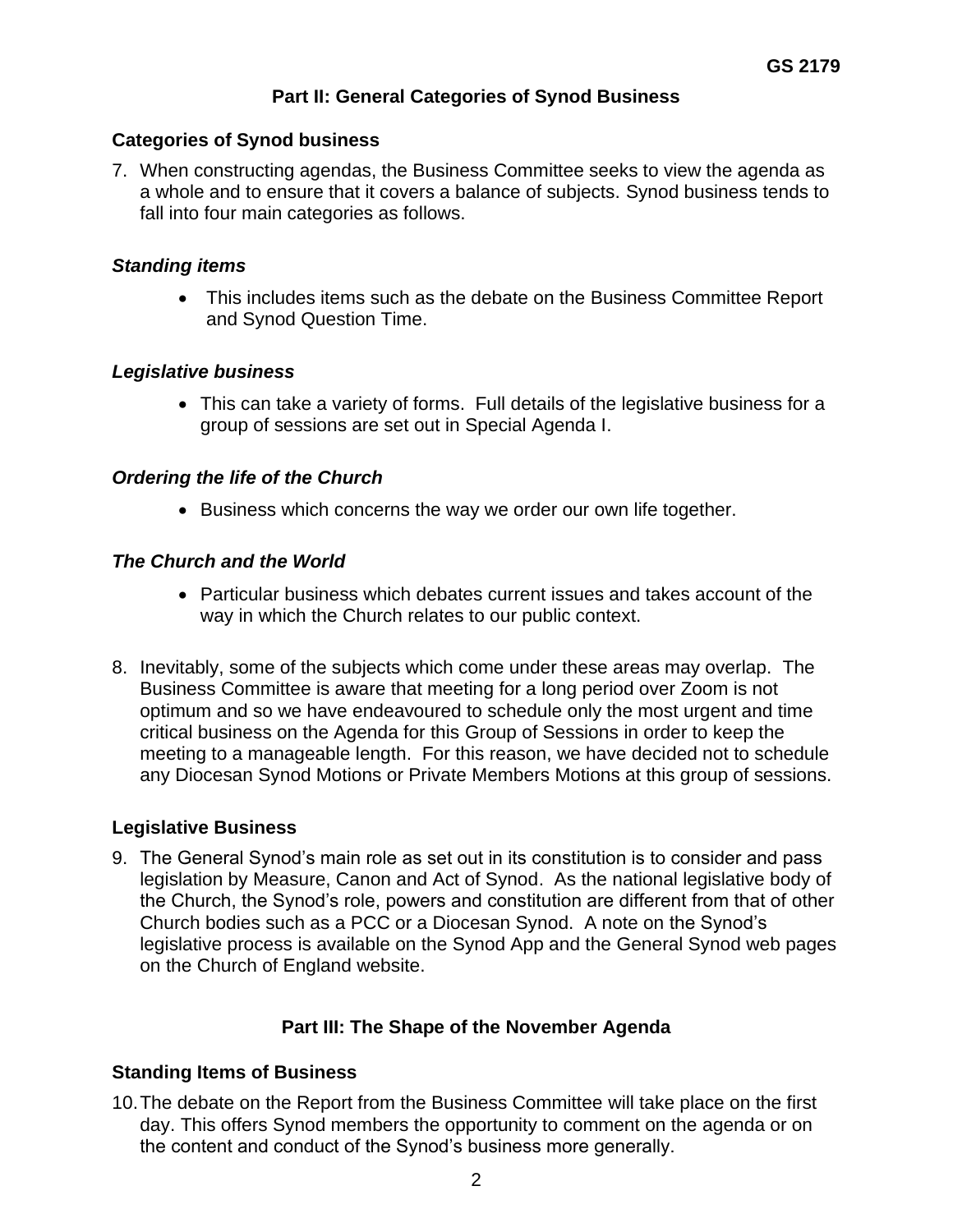## **Part II: General Categories of Synod Business**

#### **Categories of Synod business**

7. When constructing agendas, the Business Committee seeks to view the agenda as a whole and to ensure that it covers a balance of subjects. Synod business tends to fall into four main categories as follows.

#### *Standing items*

• This includes items such as the debate on the Business Committee Report and Synod Question Time.

### *Legislative business*

• This can take a variety of forms. Full details of the legislative business for a group of sessions are set out in Special Agenda I.

### *Ordering the life of the Church*

• Business which concerns the way we order our own life together.

### *The Church and the World*

- Particular business which debates current issues and takes account of the way in which the Church relates to our public context.
- 8. Inevitably, some of the subjects which come under these areas may overlap. The Business Committee is aware that meeting for a long period over Zoom is not optimum and so we have endeavoured to schedule only the most urgent and time critical business on the Agenda for this Group of Sessions in order to keep the meeting to a manageable length. For this reason, we have decided not to schedule any Diocesan Synod Motions or Private Members Motions at this group of sessions.

#### **Legislative Business**

9. The General Synod's main role as set out in its constitution is to consider and pass legislation by Measure, Canon and Act of Synod. As the national legislative body of the Church, the Synod's role, powers and constitution are different from that of other Church bodies such as a PCC or a Diocesan Synod. A note on the Synod's legislative process is available on the Synod App and the General Synod web pages on the Church of England website.

## **Part III: The Shape of the November Agenda**

## **Standing Items of Business**

10.The debate on the Report from the Business Committee will take place on the first day. This offers Synod members the opportunity to comment on the agenda or on the content and conduct of the Synod's business more generally.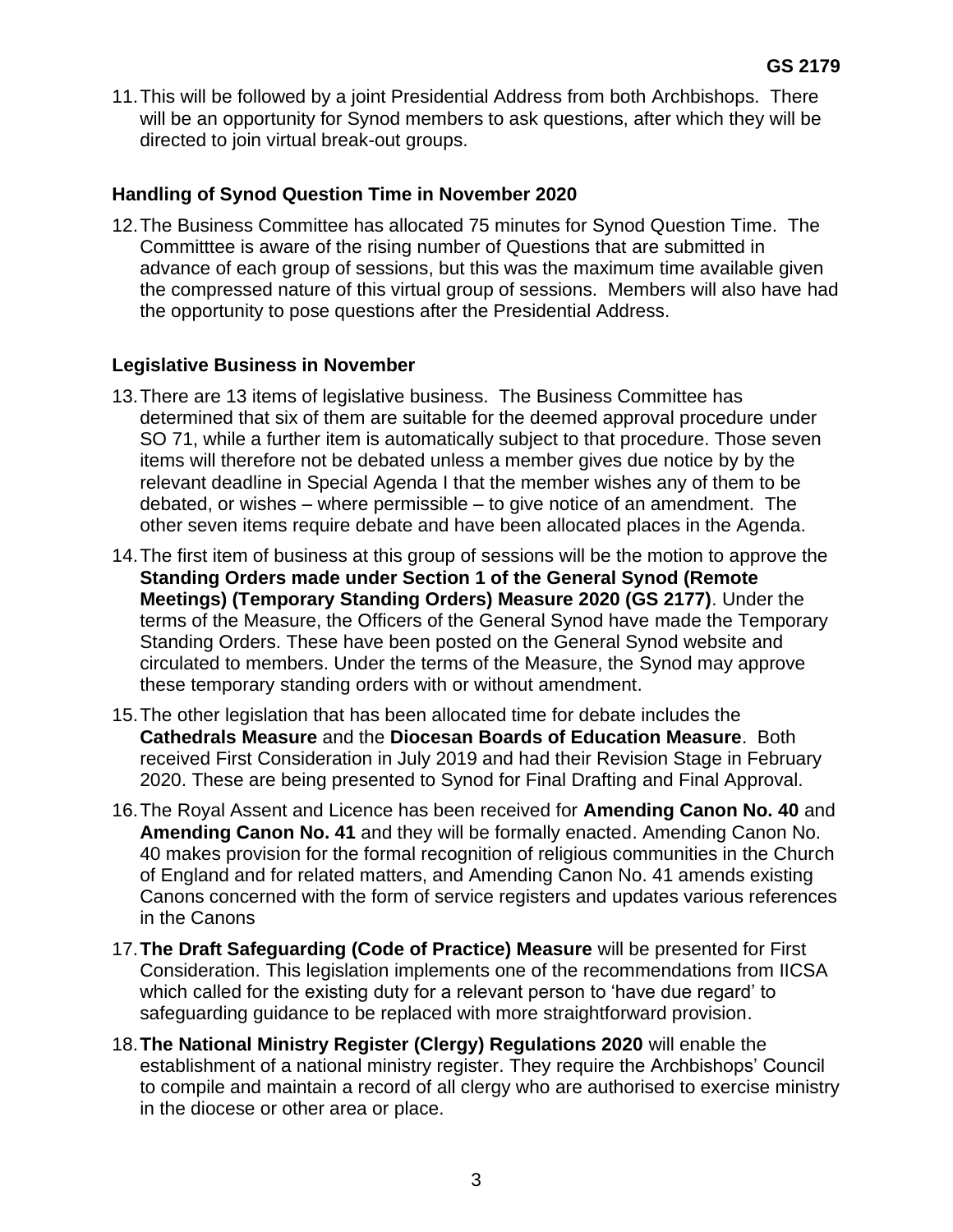11.This will be followed by a joint Presidential Address from both Archbishops. There will be an opportunity for Synod members to ask questions, after which they will be directed to join virtual break-out groups.

### **Handling of Synod Question Time in November 2020**

12.The Business Committee has allocated 75 minutes for Synod Question Time. The Committtee is aware of the rising number of Questions that are submitted in advance of each group of sessions, but this was the maximum time available given the compressed nature of this virtual group of sessions. Members will also have had the opportunity to pose questions after the Presidential Address.

## **Legislative Business in November**

- 13.There are 13 items of legislative business. The Business Committee has determined that six of them are suitable for the deemed approval procedure under SO 71, while a further item is automatically subject to that procedure. Those seven items will therefore not be debated unless a member gives due notice by by the relevant deadline in Special Agenda I that the member wishes any of them to be debated, or wishes – where permissible – to give notice of an amendment. The other seven items require debate and have been allocated places in the Agenda.
- 14.The first item of business at this group of sessions will be the motion to approve the **Standing Orders made under Section 1 of the General Synod (Remote Meetings) (Temporary Standing Orders) Measure 2020 (GS 2177)**. Under the terms of the Measure, the Officers of the General Synod have made the Temporary Standing Orders. These have been posted on the General Synod website and circulated to members. Under the terms of the Measure, the Synod may approve these temporary standing orders with or without amendment.
- 15.The other legislation that has been allocated time for debate includes the **Cathedrals Measure** and the **Diocesan Boards of Education Measure**. Both received First Consideration in July 2019 and had their Revision Stage in February 2020. These are being presented to Synod for Final Drafting and Final Approval.
- 16.The Royal Assent and Licence has been received for **Amending Canon No. 40** and **Amending Canon No. 41** and they will be formally enacted. Amending Canon No. 40 makes provision for the formal recognition of religious communities in the Church of England and for related matters, and Amending Canon No. 41 amends existing Canons concerned with the form of service registers and updates various references in the Canons
- 17.**The Draft Safeguarding (Code of Practice) Measure** will be presented for First Consideration. This legislation implements one of the recommendations from IICSA which called for the existing duty for a relevant person to 'have due regard' to safeguarding guidance to be replaced with more straightforward provision.
- 18.**The National Ministry Register (Clergy) Regulations 2020** will enable the establishment of a national ministry register. They require the Archbishops' Council to compile and maintain a record of all clergy who are authorised to exercise ministry in the diocese or other area or place.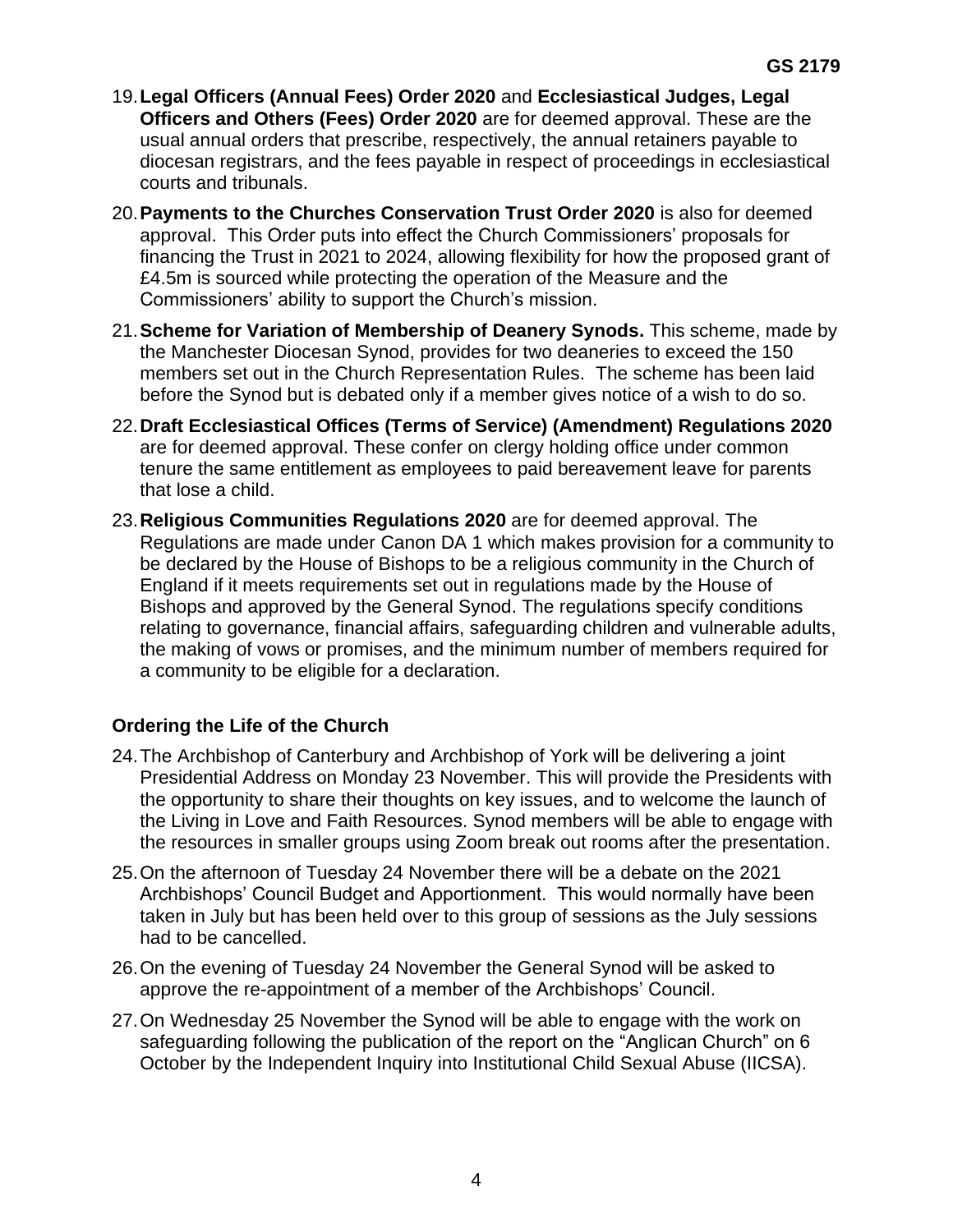- 19.**Legal Officers (Annual Fees) Order 2020** and **Ecclesiastical Judges, Legal Officers and Others (Fees) Order 2020** are for deemed approval. These are the usual annual orders that prescribe, respectively, the annual retainers payable to diocesan registrars, and the fees payable in respect of proceedings in ecclesiastical courts and tribunals.
- 20.**Payments to the Churches Conservation Trust Order 2020** is also for deemed approval. This Order puts into effect the Church Commissioners' proposals for financing the Trust in 2021 to 2024, allowing flexibility for how the proposed grant of £4.5m is sourced while protecting the operation of the Measure and the Commissioners' ability to support the Church's mission.
- 21.**Scheme for Variation of Membership of Deanery Synods.** This scheme, made by the Manchester Diocesan Synod, provides for two deaneries to exceed the 150 members set out in the Church Representation Rules. The scheme has been laid before the Synod but is debated only if a member gives notice of a wish to do so.
- 22.**Draft Ecclesiastical Offices (Terms of Service) (Amendment) Regulations 2020**  are for deemed approval. These confer on clergy holding office under common tenure the same entitlement as employees to paid bereavement leave for parents that lose a child.
- 23.**Religious Communities Regulations 2020** are for deemed approval. The Regulations are made under Canon DA 1 which makes provision for a community to be declared by the House of Bishops to be a religious community in the Church of England if it meets requirements set out in regulations made by the House of Bishops and approved by the General Synod. The regulations specify conditions relating to governance, financial affairs, safeguarding children and vulnerable adults, the making of vows or promises, and the minimum number of members required for a community to be eligible for a declaration.

# **Ordering the Life of the Church**

- 24.The Archbishop of Canterbury and Archbishop of York will be delivering a joint Presidential Address on Monday 23 November. This will provide the Presidents with the opportunity to share their thoughts on key issues, and to welcome the launch of the Living in Love and Faith Resources. Synod members will be able to engage with the resources in smaller groups using Zoom break out rooms after the presentation.
- 25.On the afternoon of Tuesday 24 November there will be a debate on the 2021 Archbishops' Council Budget and Apportionment. This would normally have been taken in July but has been held over to this group of sessions as the July sessions had to be cancelled.
- 26.On the evening of Tuesday 24 November the General Synod will be asked to approve the re-appointment of a member of the Archbishops' Council.
- 27.On Wednesday 25 November the Synod will be able to engage with the work on safeguarding following the publication of the report on the "Anglican Church" on 6 October by the Independent Inquiry into Institutional Child Sexual Abuse (IICSA).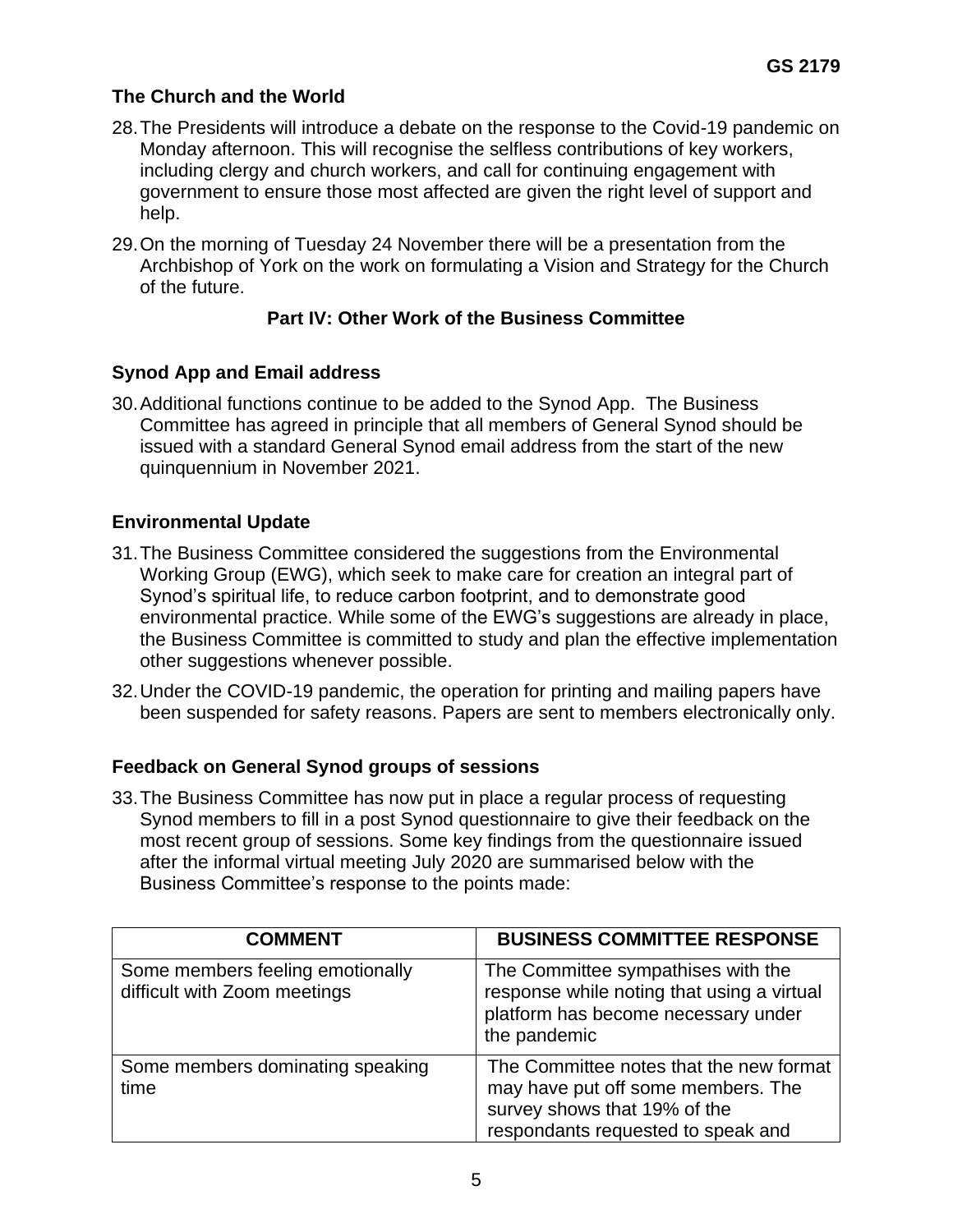## **The Church and the World**

- 28.The Presidents will introduce a debate on the response to the Covid-19 pandemic on Monday afternoon. This will recognise the selfless contributions of key workers, including clergy and church workers, and call for continuing engagement with government to ensure those most affected are given the right level of support and help.
- 29.On the morning of Tuesday 24 November there will be a presentation from the Archbishop of York on the work on formulating a Vision and Strategy for the Church of the future.

## **Part IV: Other Work of the Business Committee**

### **Synod App and Email address**

30.Additional functions continue to be added to the Synod App. The Business Committee has agreed in principle that all members of General Synod should be issued with a standard General Synod email address from the start of the new quinquennium in November 2021.

### **Environmental Update**

- 31.The Business Committee considered the suggestions from the Environmental Working Group (EWG), which seek to make care for creation an integral part of Synod's spiritual life, to reduce carbon footprint, and to demonstrate good environmental practice. While some of the EWG's suggestions are already in place, the Business Committee is committed to study and plan the effective implementation other suggestions whenever possible.
- 32.Under the COVID-19 pandemic, the operation for printing and mailing papers have been suspended for safety reasons. Papers are sent to members electronically only.

#### **Feedback on General Synod groups of sessions**

33.The Business Committee has now put in place a regular process of requesting Synod members to fill in a post Synod questionnaire to give their feedback on the most recent group of sessions. Some key findings from the questionnaire issued after the informal virtual meeting July 2020 are summarised below with the Business Committee's response to the points made:

| <b>COMMENT</b>                                                   | <b>BUSINESS COMMITTEE RESPONSE</b>                                                                                                                  |
|------------------------------------------------------------------|-----------------------------------------------------------------------------------------------------------------------------------------------------|
| Some members feeling emotionally<br>difficult with Zoom meetings | The Committee sympathises with the<br>response while noting that using a virtual<br>platform has become necessary under<br>the pandemic             |
| Some members dominating speaking<br>time                         | The Committee notes that the new format<br>may have put off some members. The<br>survey shows that 19% of the<br>respondants requested to speak and |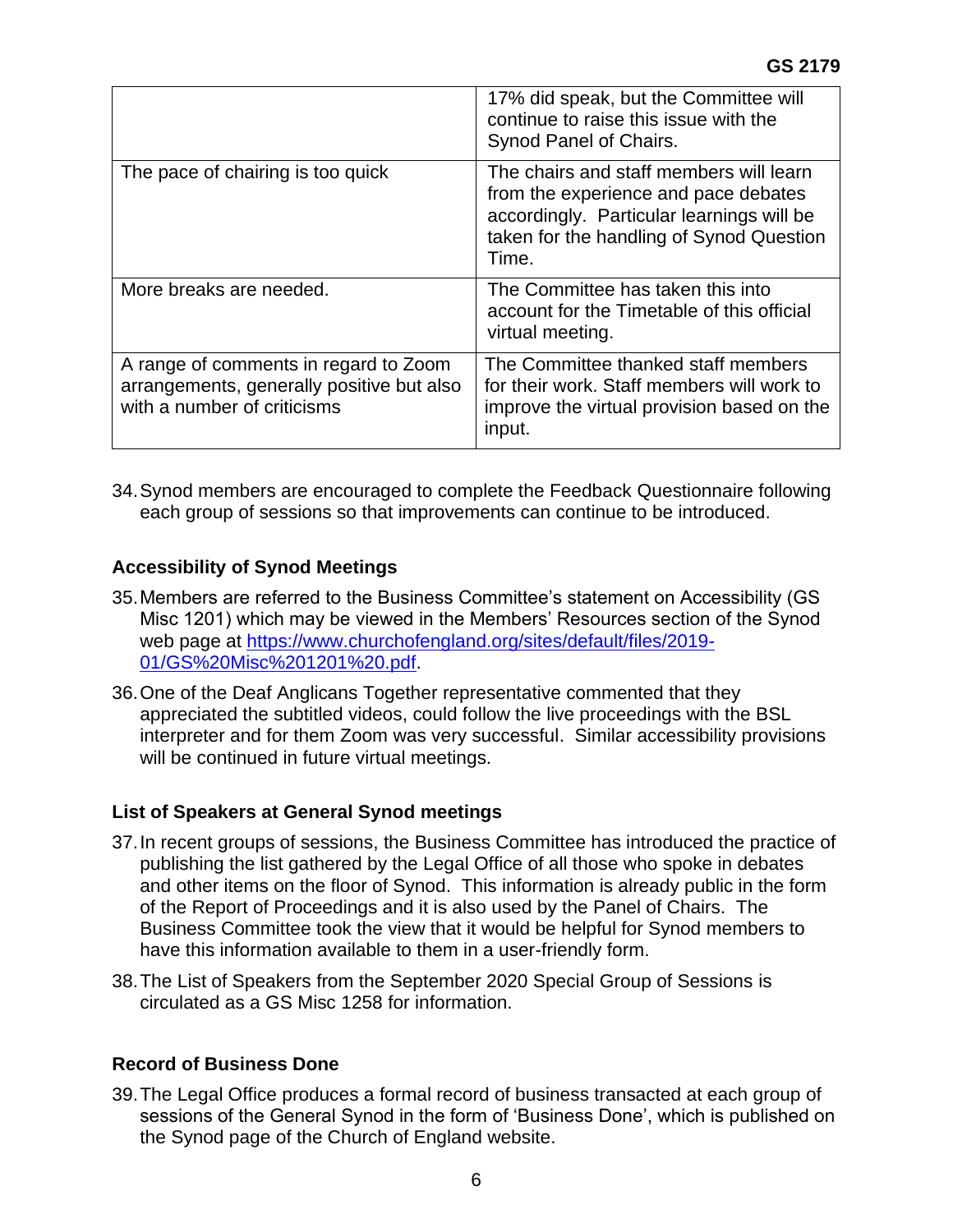|                                                                                                                   | 17% did speak, but the Committee will<br>continue to raise this issue with the<br>Synod Panel of Chairs.                                                                          |
|-------------------------------------------------------------------------------------------------------------------|-----------------------------------------------------------------------------------------------------------------------------------------------------------------------------------|
| The pace of chairing is too quick                                                                                 | The chairs and staff members will learn<br>from the experience and pace debates<br>accordingly. Particular learnings will be<br>taken for the handling of Synod Question<br>Time. |
| More breaks are needed.                                                                                           | The Committee has taken this into<br>account for the Timetable of this official<br>virtual meeting.                                                                               |
| A range of comments in regard to Zoom<br>arrangements, generally positive but also<br>with a number of criticisms | The Committee thanked staff members<br>for their work. Staff members will work to<br>improve the virtual provision based on the<br>input.                                         |

34.Synod members are encouraged to complete the Feedback Questionnaire following each group of sessions so that improvements can continue to be introduced.

## **Accessibility of Synod Meetings**

- 35.Members are referred to the Business Committee's statement on Accessibility (GS Misc 1201) which may be viewed in the Members' Resources section of the Synod web page at [https://www.churchofengland.org/sites/default/files/2019-](https://www.churchofengland.org/sites/default/files/2019-01/GS%20Misc%201201%20.pdf) [01/GS%20Misc%201201%20.pdf.](https://www.churchofengland.org/sites/default/files/2019-01/GS%20Misc%201201%20.pdf)
- 36.One of the Deaf Anglicans Together representative commented that they appreciated the subtitled videos, could follow the live proceedings with the BSL interpreter and for them Zoom was very successful. Similar accessibility provisions will be continued in future virtual meetings.

#### **List of Speakers at General Synod meetings**

- 37.In recent groups of sessions, the Business Committee has introduced the practice of publishing the list gathered by the Legal Office of all those who spoke in debates and other items on the floor of Synod. This information is already public in the form of the Report of Proceedings and it is also used by the Panel of Chairs. The Business Committee took the view that it would be helpful for Synod members to have this information available to them in a user-friendly form.
- 38.The List of Speakers from the September 2020 Special Group of Sessions is circulated as a GS Misc 1258 for information.

#### **Record of Business Done**

39.The Legal Office produces a formal record of business transacted at each group of sessions of the General Synod in the form of 'Business Done', which is published on the Synod page of the Church of England website.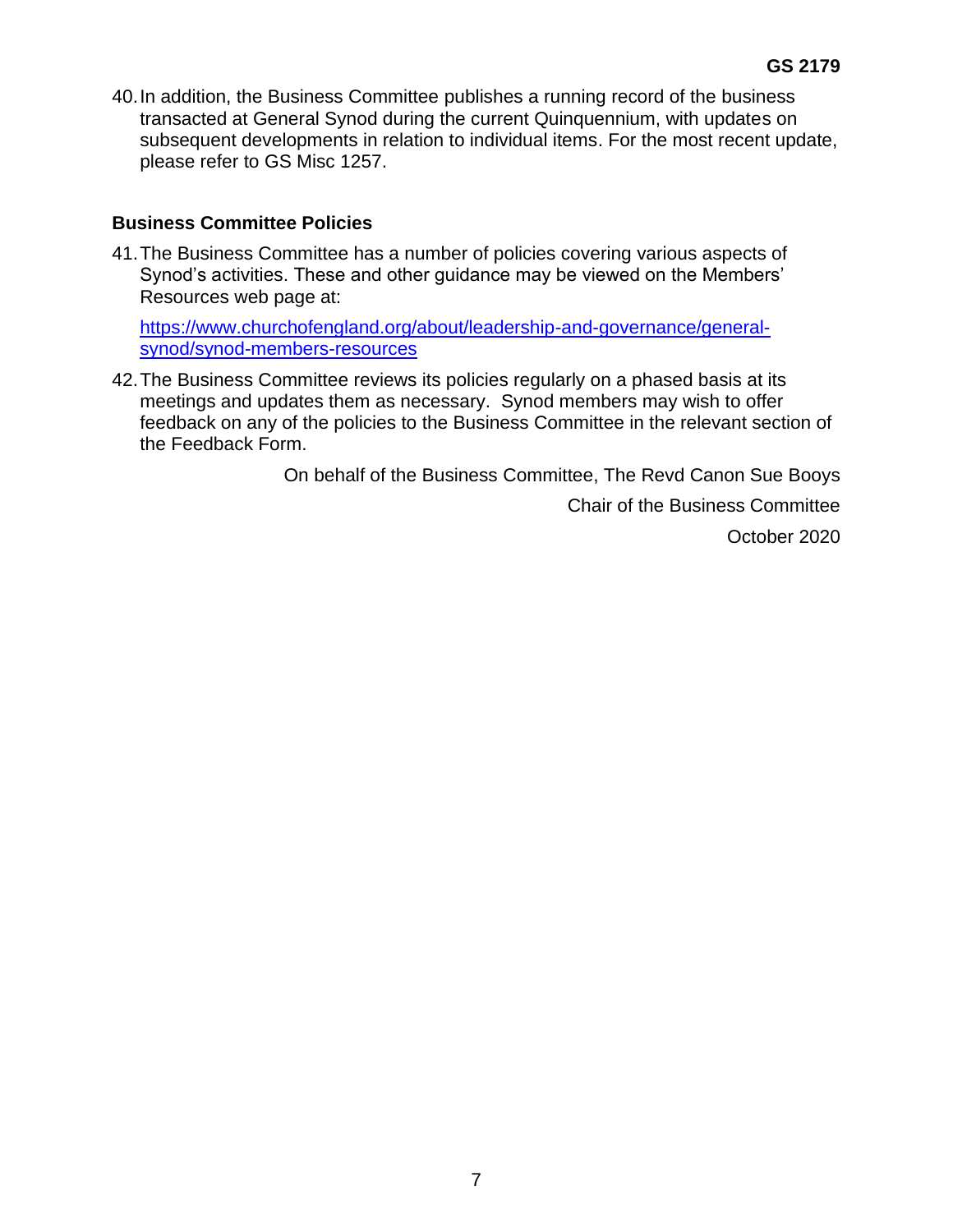40.In addition, the Business Committee publishes a running record of the business transacted at General Synod during the current Quinquennium, with updates on subsequent developments in relation to individual items. For the most recent update, please refer to GS Misc 1257.

### **Business Committee Policies**

41.The Business Committee has a number of policies covering various aspects of Synod's activities. These and other guidance may be viewed on the Members' Resources web page at:

[https://www.churchofengland.org/about/leadership-and-governance/general](https://www.churchofengland.org/about/leadership-and-governance/general-synod/synod-members-resources)[synod/synod-members-resources](https://www.churchofengland.org/about/leadership-and-governance/general-synod/synod-members-resources)

42.The Business Committee reviews its policies regularly on a phased basis at its meetings and updates them as necessary. Synod members may wish to offer feedback on any of the policies to the Business Committee in the relevant section of the Feedback Form.

On behalf of the Business Committee, The Revd Canon Sue Booys

Chair of the Business Committee

October 2020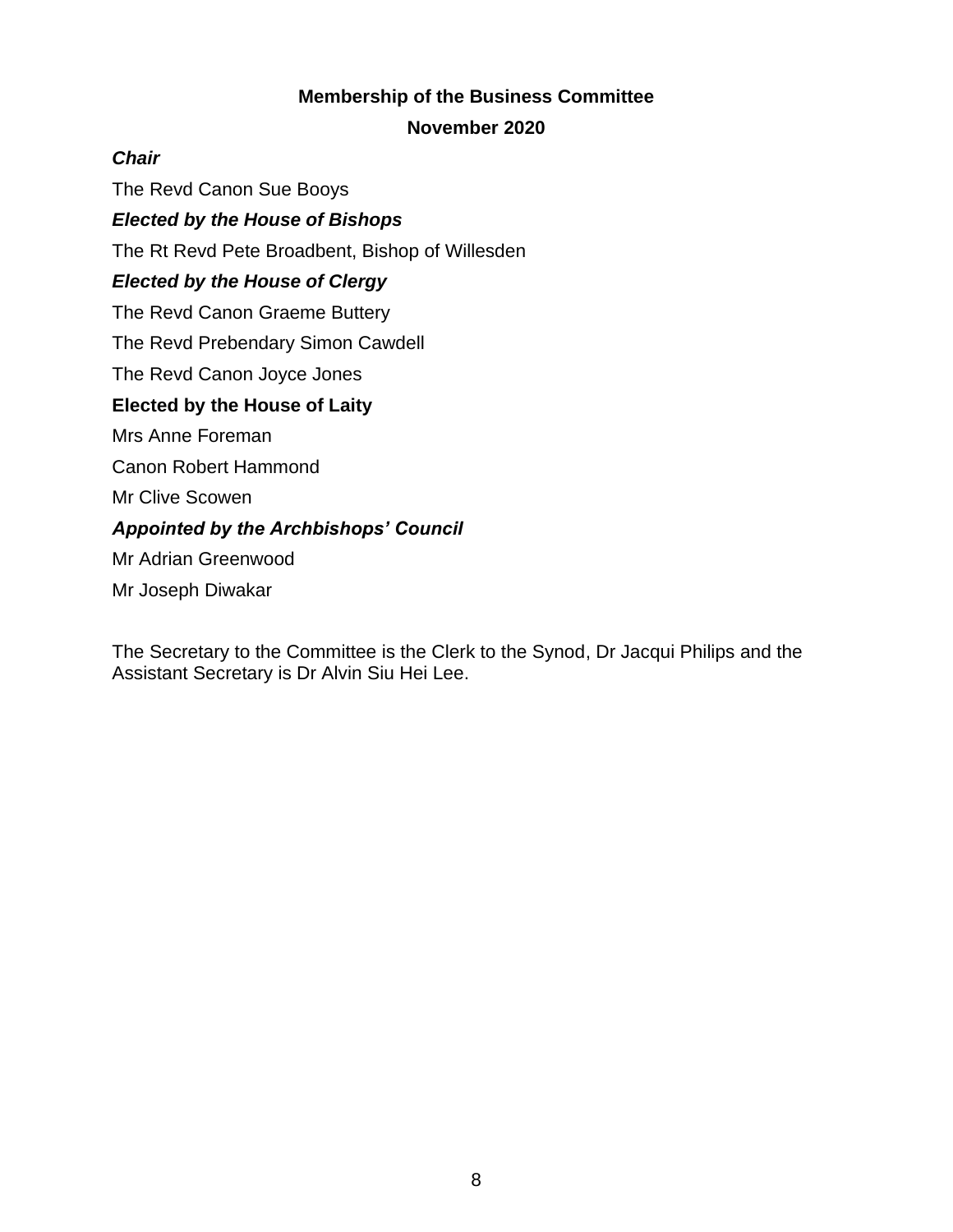## **Membership of the Business Committee**

#### **November 2020**

### *Chair*

The Revd Canon Sue Booys

### *Elected by the House of Bishops*

The Rt Revd Pete Broadbent, Bishop of Willesden

### *Elected by the House of Clergy*

The Revd Canon Graeme Buttery

The Revd Prebendary Simon Cawdell

The Revd Canon Joyce Jones

## **Elected by the House of Laity**

Mrs Anne Foreman

Canon Robert Hammond

Mr Clive Scowen

## *Appointed by the Archbishops' Council*

Mr Adrian Greenwood

Mr Joseph Diwakar

The Secretary to the Committee is the Clerk to the Synod, Dr Jacqui Philips and the Assistant Secretary is Dr Alvin Siu Hei Lee.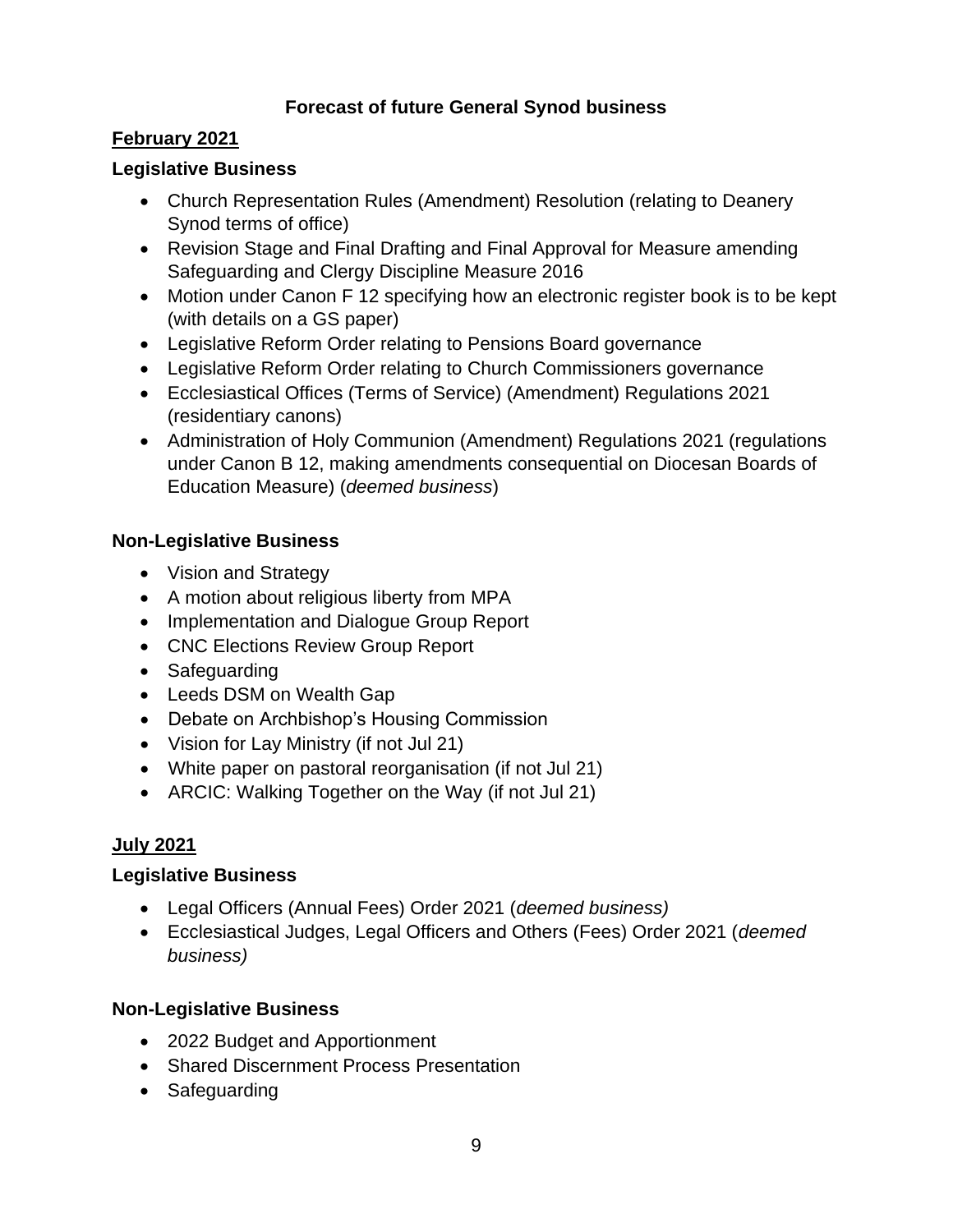## **Forecast of future General Synod business**

## **February 2021**

## **Legislative Business**

- Church Representation Rules (Amendment) Resolution (relating to Deanery Synod terms of office)
- Revision Stage and Final Drafting and Final Approval for Measure amending Safeguarding and Clergy Discipline Measure 2016
- Motion under Canon F 12 specifying how an electronic register book is to be kept (with details on a GS paper)
- Legislative Reform Order relating to Pensions Board governance
- Legislative Reform Order relating to Church Commissioners governance
- Ecclesiastical Offices (Terms of Service) (Amendment) Regulations 2021 (residentiary canons)
- Administration of Holy Communion (Amendment) Regulations 2021 (regulations under Canon B 12, making amendments consequential on Diocesan Boards of Education Measure) (*deemed business*)

## **Non-Legislative Business**

- Vision and Strategy
- A motion about religious liberty from MPA
- Implementation and Dialogue Group Report
- CNC Elections Review Group Report
- Safeguarding
- Leeds DSM on Wealth Gap
- Debate on Archbishop's Housing Commission
- Vision for Lay Ministry (if not Jul 21)
- White paper on pastoral reorganisation (if not Jul 21)
- ARCIC: Walking Together on the Way (if not Jul 21)

# **July 2021**

## **Legislative Business**

- Legal Officers (Annual Fees) Order 2021 (*deemed business)*
- Ecclesiastical Judges, Legal Officers and Others (Fees) Order 2021 (*deemed business)*

## **Non-Legislative Business**

- 2022 Budget and Apportionment
- Shared Discernment Process Presentation
- Safeguarding